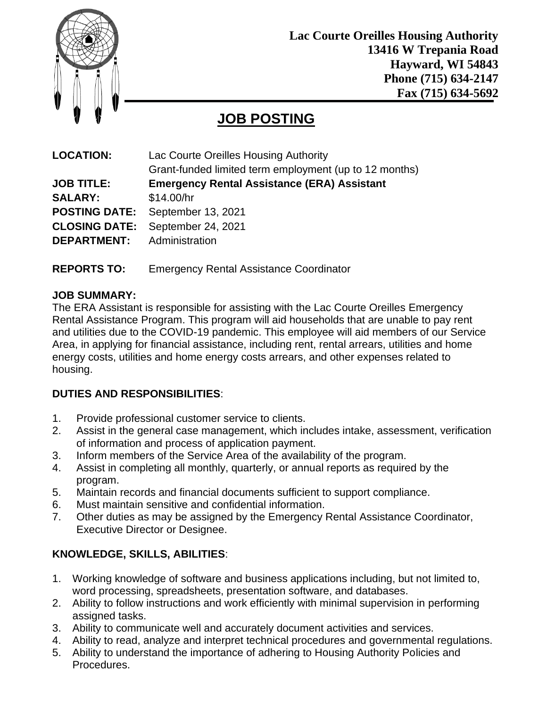

**Lac Courte Oreilles Housing Authority 13416 W Trepania Road Hayward, WI 54843 Phone (715) 634-2147 Fax (715) 634-5692**

# **JOB POSTING**

| <b>LOCATION:</b>     | Lac Courte Oreilles Housing Authority                  |
|----------------------|--------------------------------------------------------|
|                      | Grant-funded limited term employment (up to 12 months) |
| <b>JOB TITLE:</b>    | <b>Emergency Rental Assistance (ERA) Assistant</b>     |
| <b>SALARY:</b>       | \$14.00/hr                                             |
| <b>POSTING DATE:</b> | September 13, 2021                                     |
| <b>CLOSING DATE:</b> | September 24, 2021                                     |
| <b>DEPARTMENT:</b>   | Administration                                         |
|                      |                                                        |

**REPORTS TO:** Emergency Rental Assistance Coordinator

#### **JOB SUMMARY:**

The ERA Assistant is responsible for assisting with the Lac Courte Oreilles Emergency Rental Assistance Program. This program will aid households that are unable to pay rent and utilities due to the COVID-19 pandemic. This employee will aid members of our Service Area, in applying for financial assistance, including rent, rental arrears, utilities and home energy costs, utilities and home energy costs arrears, and other expenses related to housing.

## **DUTIES AND RESPONSIBILITIES**:

- 1. Provide professional customer service to clients.
- 2. Assist in the general case management, which includes intake, assessment, verification of information and process of application payment.
- 3. Inform members of the Service Area of the availability of the program.
- 4. Assist in completing all monthly, quarterly, or annual reports as required by the program.
- 5. Maintain records and financial documents sufficient to support compliance.
- 6. Must maintain sensitive and confidential information.
- 7. Other duties as may be assigned by the Emergency Rental Assistance Coordinator, Executive Director or Designee.

## **KNOWLEDGE, SKILLS, ABILITIES**:

- 1. Working knowledge of software and business applications including, but not limited to, word processing, spreadsheets, presentation software, and databases.
- 2. Ability to follow instructions and work efficiently with minimal supervision in performing assigned tasks.
- 3. Ability to communicate well and accurately document activities and services.
- 4. Ability to read, analyze and interpret technical procedures and governmental regulations.
- 5. Ability to understand the importance of adhering to Housing Authority Policies and Procedures.